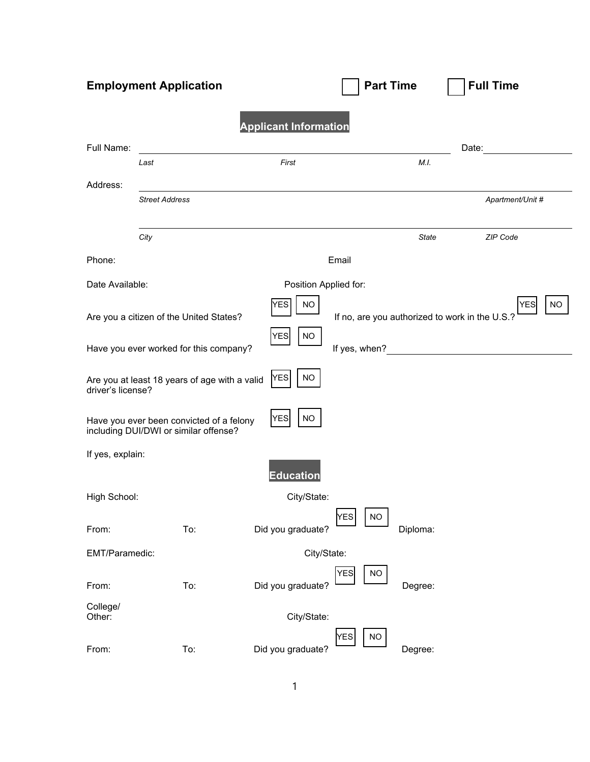| <b>Employment Application</b>                                                                                 |                                                                                   |                         | <b>Part Time</b>        |              | <b>Full Time</b> |  |  |
|---------------------------------------------------------------------------------------------------------------|-----------------------------------------------------------------------------------|-------------------------|-------------------------|--------------|------------------|--|--|
| <b>Applicant Information</b>                                                                                  |                                                                                   |                         |                         |              |                  |  |  |
| Full Name:                                                                                                    |                                                                                   |                         |                         |              | Date:            |  |  |
|                                                                                                               | Last                                                                              | First                   |                         | M.I.         |                  |  |  |
| Address:                                                                                                      |                                                                                   |                         |                         |              |                  |  |  |
|                                                                                                               | <b>Street Address</b>                                                             |                         |                         |              | Apartment/Unit # |  |  |
|                                                                                                               | City                                                                              |                         |                         | <b>State</b> | ZIP Code         |  |  |
| Phone:                                                                                                        |                                                                                   |                         | Email                   |              |                  |  |  |
| Date Available:                                                                                               |                                                                                   | Position Applied for:   |                         |              |                  |  |  |
| YES<br><b>NO</b><br>If no, are you authorized to work in the U.S.?<br>Are you a citizen of the United States? |                                                                                   |                         | <b>NO</b><br><b>YES</b> |              |                  |  |  |
| <b>NO</b><br><b>YES</b><br>If yes, when?<br>Have you ever worked for this company?                            |                                                                                   |                         |                         |              |                  |  |  |
| driver's license?                                                                                             | Are you at least 18 years of age with a valid                                     | <b>YES</b><br><b>NO</b> |                         |              |                  |  |  |
|                                                                                                               | Have you ever been convicted of a felony<br>including DUI/DWI or similar offense? | <b>YES</b><br><b>NO</b> |                         |              |                  |  |  |
| If yes, explain:                                                                                              |                                                                                   |                         |                         |              |                  |  |  |
|                                                                                                               |                                                                                   | <b>Education</b>        |                         |              |                  |  |  |
| High School:                                                                                                  |                                                                                   | City/State:             |                         |              |                  |  |  |
| From:                                                                                                         | To:                                                                               | Did you graduate?       | <b>YES</b><br>$NO$      | Diploma:     |                  |  |  |
| EMT/Paramedic:                                                                                                |                                                                                   | City/State:             |                         |              |                  |  |  |
| From:                                                                                                         | To:                                                                               | Did you graduate?       | <b>YES</b><br><b>NO</b> | Degree:      |                  |  |  |
| College/<br>Other:                                                                                            |                                                                                   | City/State:             |                         |              |                  |  |  |
| From:                                                                                                         | To:                                                                               | Did you graduate?       | YES<br><b>NO</b>        | Degree:      |                  |  |  |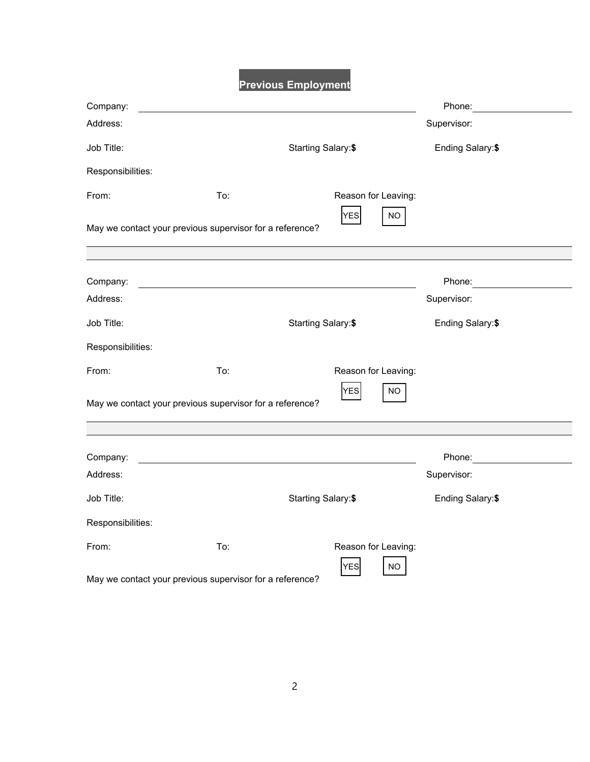**Previous Employment**

| Company:                                                          |     |                     |                                   |                   | Phone:           |  |
|-------------------------------------------------------------------|-----|---------------------|-----------------------------------|-------------------|------------------|--|
| Address:                                                          |     |                     |                                   |                   | Supervisor:      |  |
| Job Title:                                                        |     | Starting Salary: \$ |                                   | Ending Salary: \$ |                  |  |
| Responsibilities:                                                 |     |                     |                                   |                   |                  |  |
| From:                                                             | To: |                     | Reason for Leaving:               |                   |                  |  |
| May we contact your previous supervisor for a reference?          |     |                     | <b>YES</b>                        | <b>NO</b>         |                  |  |
|                                                                   |     |                     |                                   |                   |                  |  |
| Company:                                                          |     |                     |                                   |                   | Phone:           |  |
| Address:                                                          |     |                     |                                   |                   | Supervisor:      |  |
| Job Title:                                                        |     | Starting Salary:\$  |                                   |                   | Ending Salary:\$ |  |
| Responsibilities:                                                 |     |                     |                                   |                   |                  |  |
| From:                                                             | To: |                     | Reason for Leaving:               |                   |                  |  |
| May we contact your previous supervisor for a reference?          |     |                     | <b>YES</b>                        | NO.               |                  |  |
|                                                                   |     |                     |                                   |                   |                  |  |
| Company:                                                          |     |                     |                                   |                   | Phone:           |  |
| Address:                                                          |     |                     |                                   |                   | Supervisor:      |  |
| Job Title:                                                        |     | Starting Salary: \$ |                                   |                   | Ending Salary:\$ |  |
| Responsibilities:                                                 |     |                     |                                   |                   |                  |  |
| From:<br>May we contact your previous supervisor for a reference? | To: |                     | Reason for Leaving:<br><b>YES</b> | NO                |                  |  |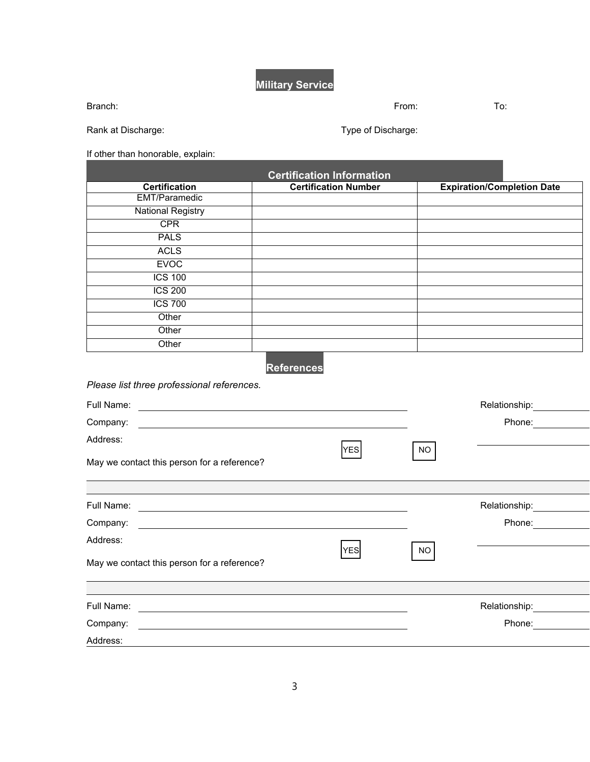**Military Service**

Branch: From: To:

Rank at Discharge: Type of Discharge: Type of Discharge:

If other than honorable, explain:

| <b>Certification</b>     | <b>Certification Number</b> | <b>Expiration/Completion Date</b> |  |
|--------------------------|-----------------------------|-----------------------------------|--|
| <b>EMT/Paramedic</b>     |                             |                                   |  |
| <b>National Registry</b> |                             |                                   |  |
| <b>CPR</b>               |                             |                                   |  |
| <b>PALS</b>              |                             |                                   |  |
| <b>ACLS</b>              |                             |                                   |  |
| <b>EVOC</b>              |                             |                                   |  |
| <b>ICS 100</b>           |                             |                                   |  |
| <b>ICS 200</b>           |                             |                                   |  |
| <b>ICS 700</b>           |                             |                                   |  |
| Other                    |                             |                                   |  |
| Other                    |                             |                                   |  |
| Other                    |                             |                                   |  |

**References**

*Please list three professional references.*

| Full Name:                                                               |            |           | Relationship: |  |
|--------------------------------------------------------------------------|------------|-----------|---------------|--|
| Company:                                                                 |            |           | Phone:        |  |
| Address:                                                                 | <b>YES</b> | <b>NO</b> |               |  |
| May we contact this person for a reference?                              |            |           |               |  |
|                                                                          |            |           |               |  |
| Full Name:<br><u> 1989 - Johann Stein, mars an de Brazilia (b. 1989)</u> |            |           | Relationship: |  |
| Company:                                                                 |            |           | Phone:        |  |
| Address:                                                                 |            |           |               |  |
| May we contact this person for a reference?                              | <b>YES</b> | NO.       |               |  |
|                                                                          |            |           |               |  |
| Full Name:                                                               |            |           | Relationship: |  |
| Company:<br><u> 1989 - John Stoff, amerikansk politiker (d. 1989)</u>    |            |           | Phone:        |  |
| Address:                                                                 |            |           |               |  |